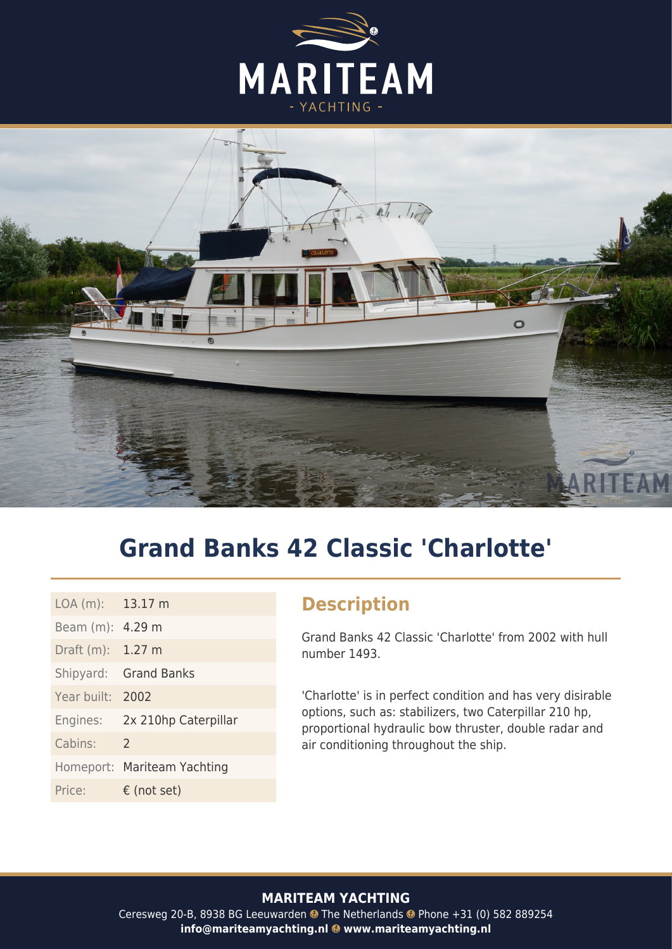



# **Grand Banks 42 Classic 'Charlotte'**

| LOA(m): 13.17 m             |
|-----------------------------|
| Beam (m): 4.29 m            |
| Draft $(m)$ : 1.27 m        |
| Shipyard: Grand Banks       |
| 2002                        |
| 2x 210hp Caterpillar        |
| $\mathcal{L}$               |
| Homeport: Mariteam Yachting |
| $\epsilon$ (not set)        |
|                             |

#### **Description**

Grand Banks 42 Classic 'Charlotte' from 2002 with hull number 1493.

'Charlotte' is in perfect condition and has very disirable options, such as: stabilizers, two Caterpillar 210 hp, proportional hydraulic bow thruster, double radar and air conditioning throughout the ship.

#### **MARITEAM YACHTING**

Ceresweg 20-B, 8938 BG Leeuwarden @ The Netherlands @ Phone +31 (0) 582 889254 info@mariteamyachting.nl @ www.mariteamyachting.nl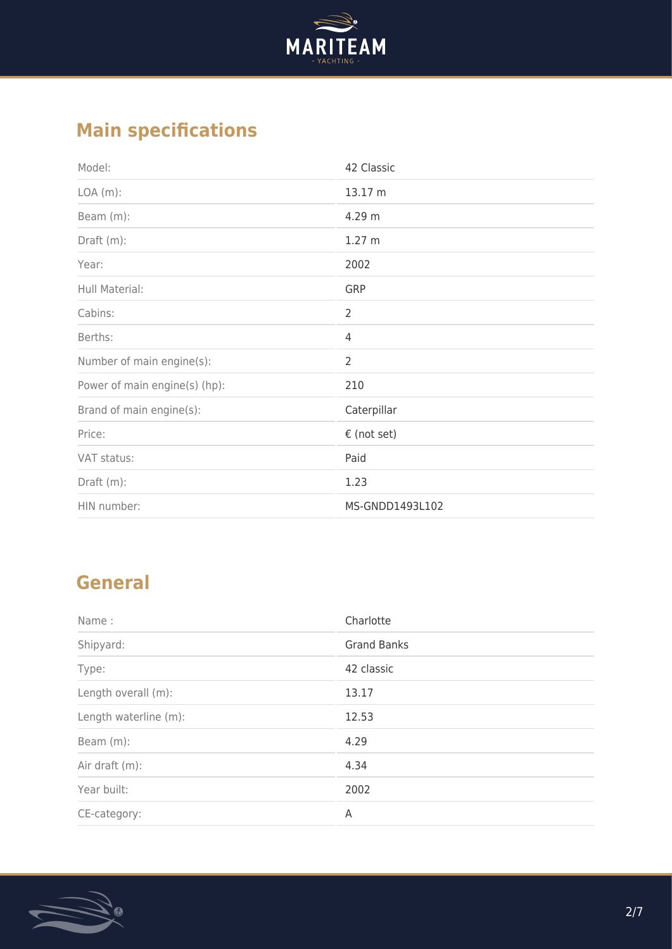

## **Main specifications**

| Model:                        | 42 Classic      |
|-------------------------------|-----------------|
| $LOA(m)$ :                    | 13.17 m         |
| Beam (m):                     | 4.29 m          |
| Draft $(m)$ :                 | 1.27 m          |
| Year:                         | 2002            |
| Hull Material:                | GRP             |
| Cabins:                       | 2               |
| Berths:                       | 4               |
| Number of main engine(s):     | $\overline{2}$  |
| Power of main engine(s) (hp): | 210             |
| Brand of main engine(s):      | Caterpillar     |
| Price:                        | € (not set)     |
| VAT status:                   | Paid            |
| Draft (m):                    | 1.23            |
| HIN number:                   | MS-GNDD1493L102 |

#### **General**

| Name:                 | Charlotte          |
|-----------------------|--------------------|
| Shipyard:             | <b>Grand Banks</b> |
| Type:                 | 42 classic         |
| Length overall (m):   | 13.17              |
| Length waterline (m): | 12.53              |
| Beam (m):             | 4.29               |
| Air draft (m):        | 4.34               |
| Year built:           | 2002               |
| CE-category:          | A                  |

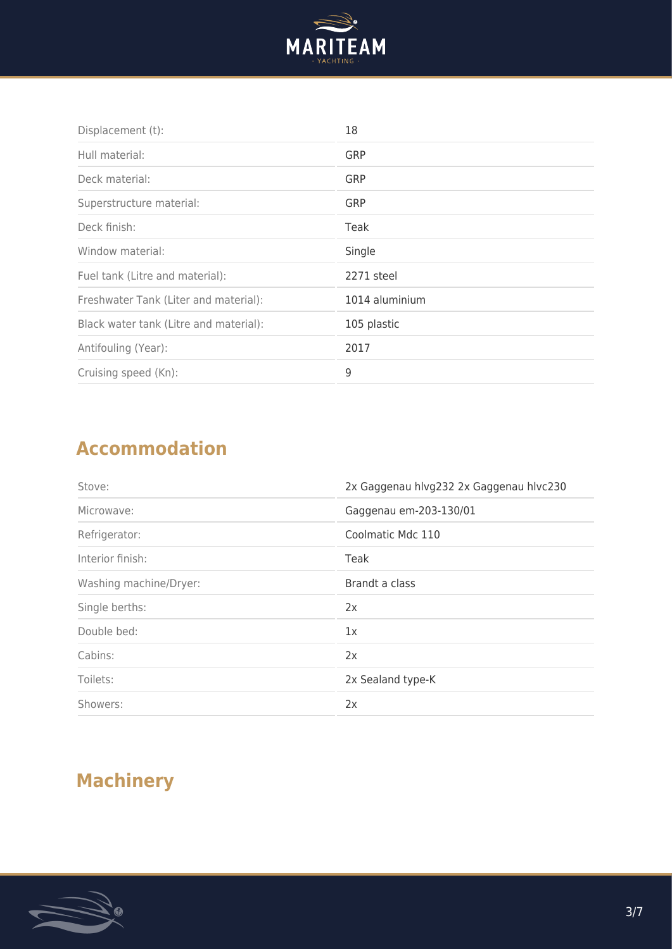

| Displacement (t):                      | 18             |
|----------------------------------------|----------------|
| Hull material:                         | GRP            |
| Deck material:                         | GRP            |
| Superstructure material:               | <b>GRP</b>     |
| Deck finish:                           | Teak           |
| Window material:                       | Single         |
| Fuel tank (Litre and material):        | 2271 steel     |
| Freshwater Tank (Liter and material):  | 1014 aluminium |
| Black water tank (Litre and material): | 105 plastic    |
| Antifouling (Year):                    | 2017           |
| Cruising speed (Kn):                   | 9              |

#### **Accommodation**

| Stove:                 | 2x Gaggenau hlvg232 2x Gaggenau hlvc230 |
|------------------------|-----------------------------------------|
| Microwave:             | Gaggenau em-203-130/01                  |
| Refrigerator:          | Coolmatic Mdc 110                       |
| Interior finish:       | Teak                                    |
| Washing machine/Dryer: | Brandt a class                          |
| Single berths:         | 2x                                      |
| Double bed:            | 1x                                      |
| Cabins:                | 2x                                      |
| Toilets:               | 2x Sealand type-K                       |
| Showers:               | 2x                                      |

## **Machinery**

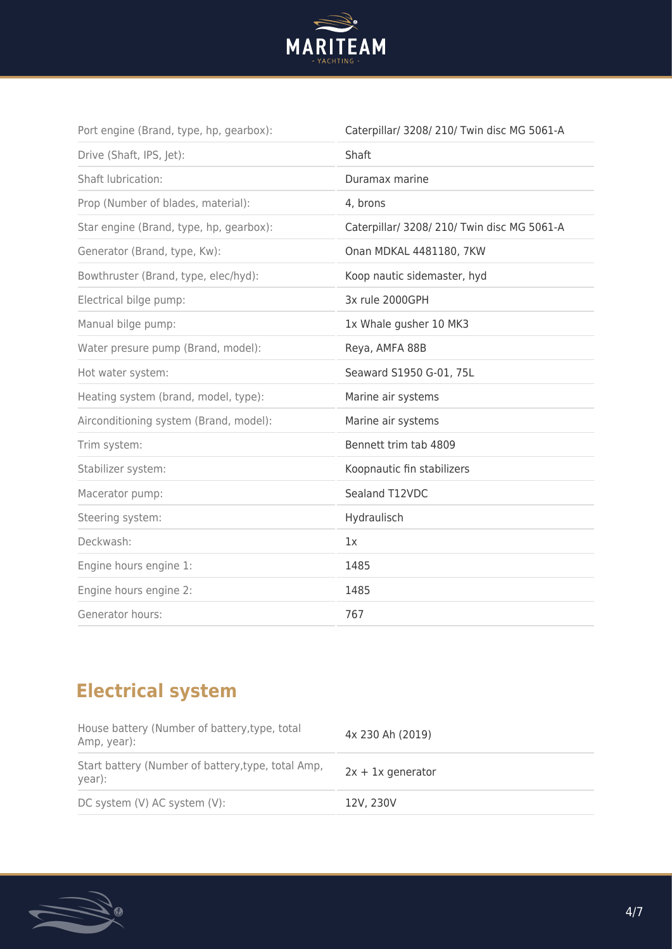

| Port engine (Brand, type, hp, gearbox): | Caterpillar/ 3208/ 210/ Twin disc MG 5061-A |
|-----------------------------------------|---------------------------------------------|
| Drive (Shaft, IPS, Jet):                | Shaft                                       |
| <b>Shaft lubrication:</b>               | Duramax marine                              |
| Prop (Number of blades, material):      | 4, brons                                    |
| Star engine (Brand, type, hp, gearbox): | Caterpillar/ 3208/ 210/ Twin disc MG 5061-A |
| Generator (Brand, type, Kw):            | Onan MDKAL 4481180, 7KW                     |
| Bowthruster (Brand, type, elec/hyd):    | Koop nautic sidemaster, hyd                 |
| Electrical bilge pump:                  | 3x rule 2000GPH                             |
| Manual bilge pump:                      | 1x Whale gusher 10 MK3                      |
| Water presure pump (Brand, model):      | Reya, AMFA 88B                              |
| Hot water system:                       | Seaward S1950 G-01, 75L                     |
| Heating system (brand, model, type):    | Marine air systems                          |
| Airconditioning system (Brand, model):  | Marine air systems                          |
| Trim system:                            | Bennett trim tab 4809                       |
| Stabilizer system:                      | Koopnautic fin stabilizers                  |
| Macerator pump:                         | Sealand T12VDC                              |
| Steering system:                        | Hydraulisch                                 |
| Deckwash:                               | 1x                                          |
| Engine hours engine 1:                  | 1485                                        |
| Engine hours engine 2:                  | 1485                                        |
| Generator hours:                        | 767                                         |
|                                         |                                             |

## **Electrical system**

| House battery (Number of battery, type, total<br>Amp, year): | 4x 230 Ah (2019)    |
|--------------------------------------------------------------|---------------------|
| Start battery (Number of battery, type, total Amp,<br>year): | $2x + 1x$ generator |
| DC system (V) AC system (V):                                 | 12V, 230V           |

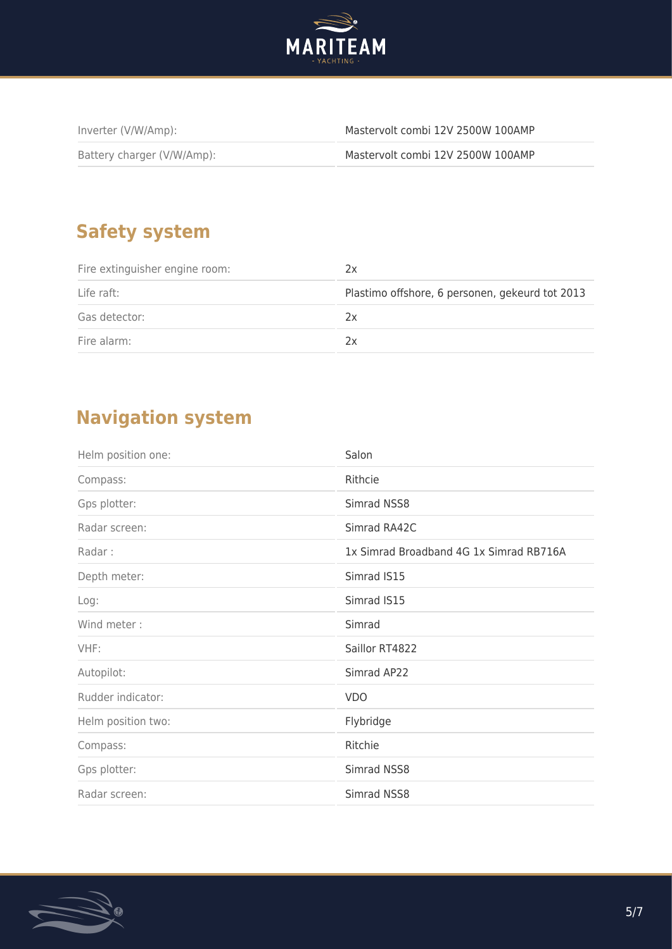

| Inverter (V/W/Amp):        | Mastervolt combi 12V 2500W 100AMP |
|----------------------------|-----------------------------------|
| Battery charger (V/W/Amp): | Mastervolt combi 12V 2500W 100AMP |

#### **Safety system**

| Fire extinguisher engine room: | ŻΧ                                              |
|--------------------------------|-------------------------------------------------|
| Life raft:                     | Plastimo offshore, 6 personen, gekeurd tot 2013 |
| Gas detector:                  | 2x                                              |
| Fire alarm:                    | 2x                                              |

#### **Navigation system**

| Helm position one: | Salon                                   |
|--------------------|-----------------------------------------|
| Compass:           | Rithcie                                 |
| Gps plotter:       | Simrad NSS8                             |
| Radar screen:      | Simrad RA42C                            |
| Radar:             | 1x Simrad Broadband 4G 1x Simrad RB716A |
| Depth meter:       | Simrad IS15                             |
| Log:               | Simrad IS15                             |
| Wind meter:        | Simrad                                  |
| VHF:               | Saillor RT4822                          |
| Autopilot:         | Simrad AP22                             |
| Rudder indicator:  | <b>VDO</b>                              |
| Helm position two: | Flybridge                               |
| Compass:           | Ritchie                                 |
| Gps plotter:       | Simrad NSS8                             |
| Radar screen:      | Simrad NSS8                             |

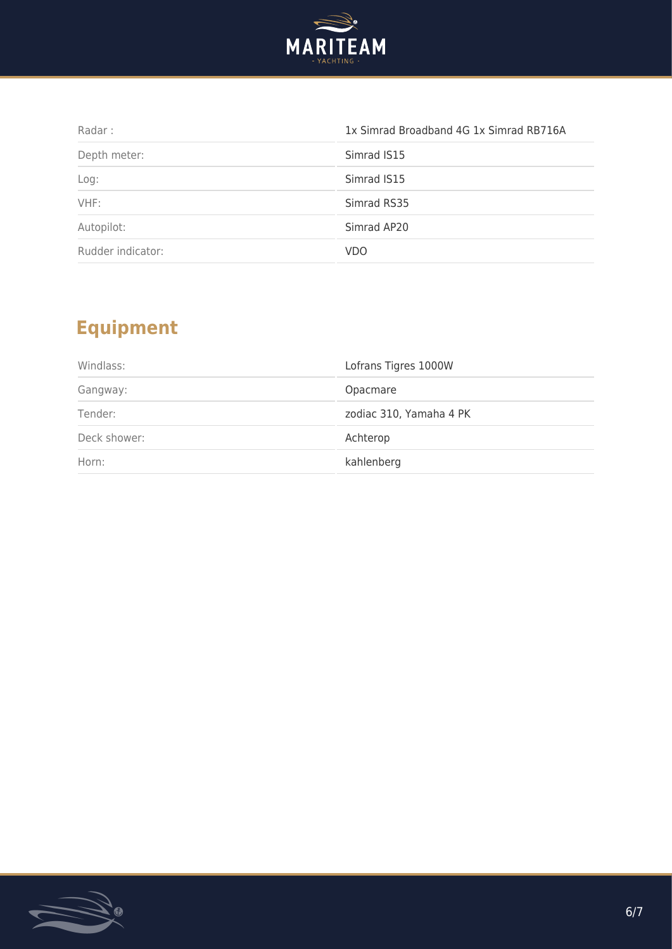

| Radar:            | 1x Simrad Broadband 4G 1x Simrad RB716A |
|-------------------|-----------------------------------------|
| Depth meter:      | Simrad IS15                             |
| Log:              | Simrad IS15                             |
| VHF:              | Simrad RS35                             |
| Autopilot:        | Simrad AP20                             |
| Rudder indicator: | <b>VDO</b>                              |

## **Equipment**

| Windlass:    | Lofrans Tigres 1000W    |
|--------------|-------------------------|
| Gangway:     | Opacmare                |
| Tender:      | zodiac 310, Yamaha 4 PK |
| Deck shower: | Achterop                |
| Horn:        | kahlenberg              |